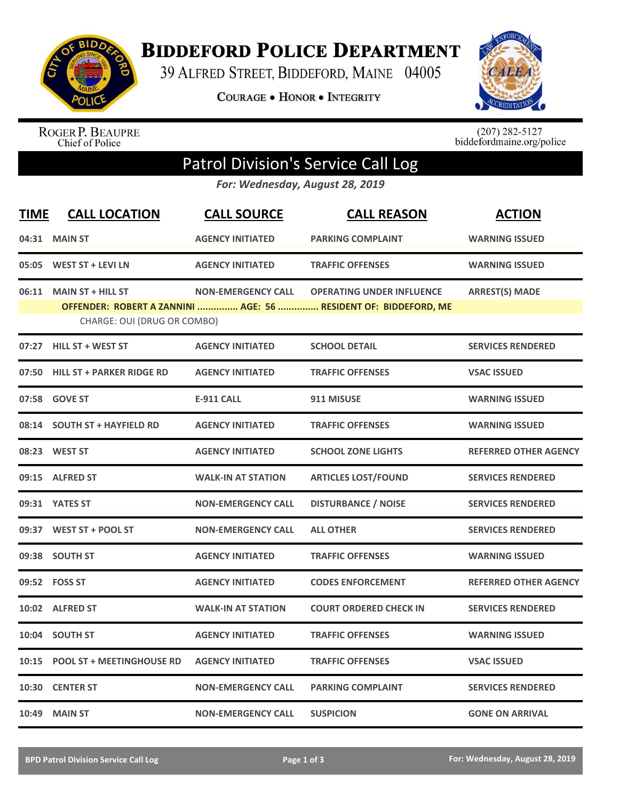

**BIDDEFORD POLICE DEPARTMENT** 

39 ALFRED STREET, BIDDEFORD, MAINE 04005

**COURAGE . HONOR . INTEGRITY** 



ROGER P. BEAUPRE<br>Chief of Police

 $(207)$  282-5127<br>biddefordmaine.org/police

## Patrol Division's Service Call Log

*For: Wednesday, August 28, 2019*

| <b>TIME</b> | <b>CALL LOCATION</b>                                    | <b>CALL SOURCE</b>        | <b>CALL REASON</b>                                                                                  | <b>ACTION</b>                |
|-------------|---------------------------------------------------------|---------------------------|-----------------------------------------------------------------------------------------------------|------------------------------|
|             | 04:31 MAIN ST                                           | <b>AGENCY INITIATED</b>   | <b>PARKING COMPLAINT</b>                                                                            | <b>WARNING ISSUED</b>        |
| 05:05       | <b>WEST ST + LEVI LN</b>                                | <b>AGENCY INITIATED</b>   | <b>TRAFFIC OFFENSES</b>                                                                             | <b>WARNING ISSUED</b>        |
| 06:11       | <b>MAIN ST + HILL ST</b><br>CHARGE: OUI (DRUG OR COMBO) | <b>NON-EMERGENCY CALL</b> | <b>OPERATING UNDER INFLUENCE</b><br>OFFENDER: ROBERT A ZANNINI  AGE: 56  RESIDENT OF: BIDDEFORD, ME | <b>ARREST(S) MADE</b>        |
|             | 07:27 HILL ST + WEST ST                                 | <b>AGENCY INITIATED</b>   | <b>SCHOOL DETAIL</b>                                                                                | <b>SERVICES RENDERED</b>     |
| 07:50       | <b>HILL ST + PARKER RIDGE RD</b>                        | <b>AGENCY INITIATED</b>   | <b>TRAFFIC OFFENSES</b>                                                                             | <b>VSAC ISSUED</b>           |
|             | 07:58 GOVE ST                                           | <b>E-911 CALL</b>         | 911 MISUSE                                                                                          | <b>WARNING ISSUED</b>        |
| 08:14       | <b>SOUTH ST + HAYFIELD RD</b>                           | <b>AGENCY INITIATED</b>   | <b>TRAFFIC OFFENSES</b>                                                                             | <b>WARNING ISSUED</b>        |
|             | 08:23 WEST ST                                           | <b>AGENCY INITIATED</b>   | <b>SCHOOL ZONE LIGHTS</b>                                                                           | <b>REFERRED OTHER AGENCY</b> |
|             | 09:15 ALFRED ST                                         | <b>WALK-IN AT STATION</b> | <b>ARTICLES LOST/FOUND</b>                                                                          | <b>SERVICES RENDERED</b>     |
|             | 09:31 YATES ST                                          | <b>NON-EMERGENCY CALL</b> | <b>DISTURBANCE / NOISE</b>                                                                          | <b>SERVICES RENDERED</b>     |
|             | 09:37 WEST ST + POOL ST                                 | <b>NON-EMERGENCY CALL</b> | <b>ALL OTHER</b>                                                                                    | <b>SERVICES RENDERED</b>     |
|             | 09:38 SOUTH ST                                          | <b>AGENCY INITIATED</b>   | <b>TRAFFIC OFFENSES</b>                                                                             | <b>WARNING ISSUED</b>        |
|             | 09:52 FOSS ST                                           | <b>AGENCY INITIATED</b>   | <b>CODES ENFORCEMENT</b>                                                                            | <b>REFERRED OTHER AGENCY</b> |
| 10:02       | <b>ALFRED ST</b>                                        | <b>WALK-IN AT STATION</b> | <b>COURT ORDERED CHECK IN</b>                                                                       | <b>SERVICES RENDERED</b>     |
| 10:04       | <b>SOUTH ST</b>                                         | <b>AGENCY INITIATED</b>   | <b>TRAFFIC OFFENSES</b>                                                                             | <b>WARNING ISSUED</b>        |
| 10:15       | <b>POOL ST + MEETINGHOUSE RD</b>                        | <b>AGENCY INITIATED</b>   | <b>TRAFFIC OFFENSES</b>                                                                             | <b>VSAC ISSUED</b>           |
|             | 10:30 CENTER ST                                         | <b>NON-EMERGENCY CALL</b> | <b>PARKING COMPLAINT</b>                                                                            | <b>SERVICES RENDERED</b>     |
|             | <b>10:49 MAIN ST</b>                                    | <b>NON-EMERGENCY CALL</b> | <b>SUSPICION</b>                                                                                    | <b>GONE ON ARRIVAL</b>       |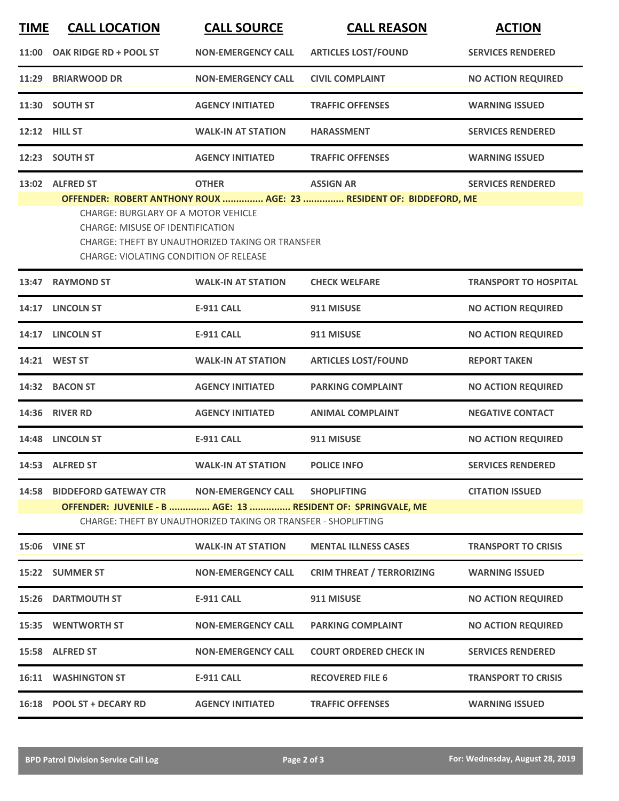| <b>TIME</b> | <b>CALL LOCATION</b>                                                                                                                               | <b>CALL SOURCE</b>                                                                               | <b>CALL REASON</b>                                                                     | <b>ACTION</b>                |
|-------------|----------------------------------------------------------------------------------------------------------------------------------------------------|--------------------------------------------------------------------------------------------------|----------------------------------------------------------------------------------------|------------------------------|
|             | 11:00 OAK RIDGE RD + POOL ST                                                                                                                       | <b>NON-EMERGENCY CALL</b>                                                                        | <b>ARTICLES LOST/FOUND</b>                                                             | <b>SERVICES RENDERED</b>     |
|             | 11:29 BRIARWOOD DR                                                                                                                                 | <b>NON-EMERGENCY CALL</b>                                                                        | <b>CIVIL COMPLAINT</b>                                                                 | <b>NO ACTION REQUIRED</b>    |
|             | 11:30 SOUTH ST                                                                                                                                     | <b>AGENCY INITIATED</b>                                                                          | <b>TRAFFIC OFFENSES</b>                                                                | <b>WARNING ISSUED</b>        |
|             | 12:12 HILL ST                                                                                                                                      | <b>WALK-IN AT STATION</b>                                                                        | <b>HARASSMENT</b>                                                                      | <b>SERVICES RENDERED</b>     |
|             | 12:23 SOUTH ST                                                                                                                                     | <b>AGENCY INITIATED</b>                                                                          | <b>TRAFFIC OFFENSES</b>                                                                | <b>WARNING ISSUED</b>        |
|             | 13:02 ALFRED ST<br>CHARGE: BURGLARY OF A MOTOR VEHICLE<br><b>CHARGE: MISUSE OF IDENTIFICATION</b><br><b>CHARGE: VIOLATING CONDITION OF RELEASE</b> | <b>OTHER</b><br><b>CHARGE: THEFT BY UNAUTHORIZED TAKING OR TRANSFER</b>                          | <b>ASSIGN AR</b><br>OFFENDER: ROBERT ANTHONY ROUX  AGE: 23  RESIDENT OF: BIDDEFORD, ME | <b>SERVICES RENDERED</b>     |
|             | 13:47 RAYMOND ST                                                                                                                                   | <b>WALK-IN AT STATION</b>                                                                        | <b>CHECK WELFARE</b>                                                                   | <b>TRANSPORT TO HOSPITAL</b> |
|             | 14:17 LINCOLN ST                                                                                                                                   | <b>E-911 CALL</b>                                                                                | 911 MISUSE                                                                             | <b>NO ACTION REQUIRED</b>    |
|             | 14:17 LINCOLN ST                                                                                                                                   | <b>E-911 CALL</b>                                                                                | 911 MISUSE                                                                             | <b>NO ACTION REQUIRED</b>    |
|             | 14:21 WEST ST                                                                                                                                      | <b>WALK-IN AT STATION</b>                                                                        | <b>ARTICLES LOST/FOUND</b>                                                             | <b>REPORT TAKEN</b>          |
|             | 14:32 BACON ST                                                                                                                                     | <b>AGENCY INITIATED</b>                                                                          | <b>PARKING COMPLAINT</b>                                                               | <b>NO ACTION REQUIRED</b>    |
|             | 14:36 RIVER RD                                                                                                                                     | <b>AGENCY INITIATED</b>                                                                          | <b>ANIMAL COMPLAINT</b>                                                                | <b>NEGATIVE CONTACT</b>      |
|             | 14:48 LINCOLN ST                                                                                                                                   | <b>E-911 CALL</b>                                                                                | 911 MISUSE                                                                             | <b>NO ACTION REQUIRED</b>    |
|             | 14:53 ALFRED ST                                                                                                                                    | <b>WALK-IN AT STATION</b>                                                                        | <b>POLICE INFO</b>                                                                     | <b>SERVICES RENDERED</b>     |
|             | 14:58 BIDDEFORD GATEWAY CTR<br>OFFENDER: JUVENILE - B  AGE: 13  RESIDENT OF: SPRINGVALE, ME                                                        | NON-EMERGENCY CALL SHOPLIFTING<br>CHARGE: THEFT BY UNAUTHORIZED TAKING OR TRANSFER - SHOPLIFTING |                                                                                        | <b>CITATION ISSUED</b>       |
|             | <b>15:06 VINE ST</b>                                                                                                                               | <b>WALK-IN AT STATION</b>                                                                        | <b>MENTAL ILLNESS CASES</b>                                                            | <b>TRANSPORT TO CRISIS</b>   |
|             | 15:22 SUMMER ST                                                                                                                                    | <b>NON-EMERGENCY CALL</b>                                                                        | <b>CRIM THREAT / TERRORIZING</b>                                                       | <b>WARNING ISSUED</b>        |
|             | <b>15:26 DARTMOUTH ST</b>                                                                                                                          | E-911 CALL                                                                                       | 911 MISUSE                                                                             | <b>NO ACTION REQUIRED</b>    |
|             | 15:35 WENTWORTH ST                                                                                                                                 | <b>NON-EMERGENCY CALL</b>                                                                        | <b>PARKING COMPLAINT</b>                                                               | <b>NO ACTION REQUIRED</b>    |
|             | 15:58 ALFRED ST                                                                                                                                    | <b>NON-EMERGENCY CALL</b>                                                                        | <b>COURT ORDERED CHECK IN</b>                                                          | <b>SERVICES RENDERED</b>     |
|             | <b>16:11 WASHINGTON ST</b>                                                                                                                         | E-911 CALL                                                                                       | <b>RECOVERED FILE 6</b>                                                                | <b>TRANSPORT TO CRISIS</b>   |
|             | 16:18 POOL ST + DECARY RD                                                                                                                          | <b>AGENCY INITIATED</b>                                                                          | <b>TRAFFIC OFFENSES</b>                                                                | <b>WARNING ISSUED</b>        |